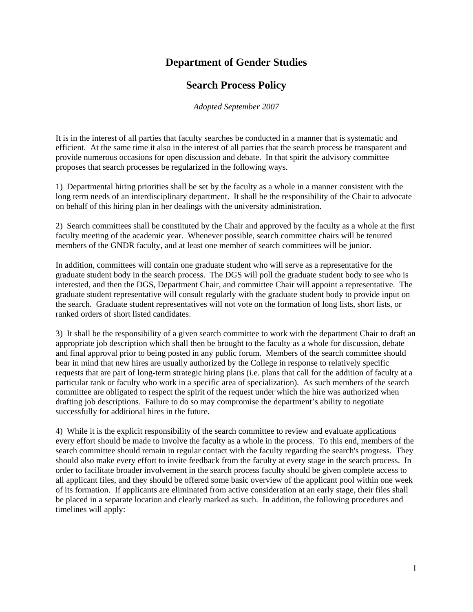## **Department of Gender Studies**

## **Search Process Policy**

*Adopted September 2007*

It is in the interest of all parties that faculty searches be conducted in a manner that is systematic and efficient. At the same time it also in the interest of all parties that the search process be transparent and provide numerous occasions for open discussion and debate. In that spirit the advisory committee proposes that search processes be regularized in the following ways.

1) Departmental hiring priorities shall be set by the faculty as a whole in a manner consistent with the long term needs of an interdisciplinary department. It shall be the responsibility of the Chair to advocate on behalf of this hiring plan in her dealings with the university administration.

2) Search committees shall be constituted by the Chair and approved by the faculty as a whole at the first faculty meeting of the academic year. Whenever possible, search committee chairs will be tenured members of the GNDR faculty, and at least one member of search committees will be junior.

In addition, committees will contain one graduate student who will serve as a representative for the graduate student body in the search process. The DGS will poll the graduate student body to see who is interested, and then the DGS, Department Chair, and committee Chair will appoint a representative. The graduate student representative will consult regularly with the graduate student body to provide input on the search. Graduate student representatives will not vote on the formation of long lists, short lists, or ranked orders of short listed candidates.

3) It shall be the responsibility of a given search committee to work with the department Chair to draft an appropriate job description which shall then be brought to the faculty as a whole for discussion, debate and final approval prior to being posted in any public forum. Members of the search committee should bear in mind that new hires are usually authorized by the College in response to relatively specific requests that are part of long-term strategic hiring plans (i.e. plans that call for the addition of faculty at a particular rank or faculty who work in a specific area of specialization). As such members of the search committee are obligated to respect the spirit of the request under which the hire was authorized when drafting job descriptions. Failure to do so may compromise the department's ability to negotiate successfully for additional hires in the future.

4) While it is the explicit responsibility of the search committee to review and evaluate applications every effort should be made to involve the faculty as a whole in the process. To this end, members of the search committee should remain in regular contact with the faculty regarding the search's progress. They should also make every effort to invite feedback from the faculty at every stage in the search process. In order to facilitate broader involvement in the search process faculty should be given complete access to all applicant files, and they should be offered some basic overview of the applicant pool within one week of its formation. If applicants are eliminated from active consideration at an early stage, their files shall be placed in a separate location and clearly marked as such. In addition, the following procedures and timelines will apply: